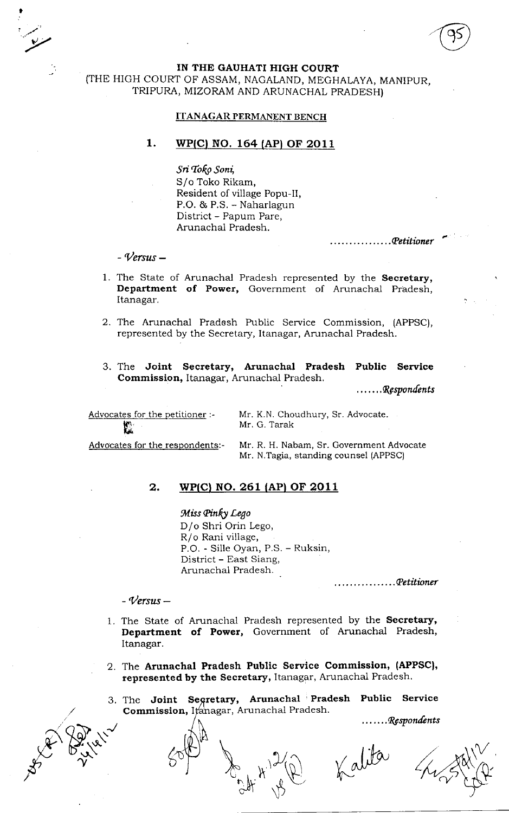IN THE GAUHATI HIGH COURT (THE HIGH COURT OF ASSAM, NAGALAND, MEGHALAYA, MANIPUR, TRIPURA, MIZORAM AND ARUNACHAL PRADESH}

## ITANAGAR PERMANENT BENCH

## 1. WP(C) NO. 164 (AP) OF 2011

Sri Toko Soni, S/o Toko Rikam, Resident of village Popu-Il, P.O.&P.S.-Naharlagun District - Papum Pare, Arunachal Pradesh.

 $\ldots \ldots \ldots$  Petitioner

 $-$  Versus  $-$ 

t

.y

- 1. The State of Arunachal Pradesh represented by the Secretary, Department of Power, Government of Arunachal Pradesh, Itanagar.
- 2. The Arunachal Pradesh Public Service Commission, (APPSC), represented by the Secretary, Itanagar, Arunachal Pradesh.
- 3. The Joint Secretary, Arunachal Pradesh Public Service Commission, Itanagar, Arunachal Pradesh.

 $\ldots \ldots \mathcal{R}$ espondents

Advocates for the petitioner:- $\mathbf{F}$ Ii6

Mr. K.N. Choudhury, Sr. Advocate. Mr. G. Tarak

Advocates for the respondents:- Mr. R. H. Nabam, Sr. Government Advocate Mr. N.Tagia, standing counsel (APPSC)

## 2. WP(C) NO. 261 (AP) OF 2011

Miss Pinky Lego D/o Shri Orin Lego, R/o Rani village, P.O. - Sille Oyan, P.S. - Ruksin, District - East Siang, Arunachal Pradesh.

 $\ldots \ldots \ldots$ . Petitioner

## $-$  Versus  $-$

P 12 1

- 1. The State of Arunachal Pradesh represented by the Secretary, Department of Power, Government of Arunachal Pradesh, Itanagar.
- 2. The Arunachal Pradesh Public Service Commission, (APPSC), represented by the Secretary, Itanagar, Arunachal Pradesh.
- 3. The Joint Segretary, Arunachal Pradesh Public Service  ${\tt Commission},$  I $\not\!\!{\rm changes}$ n, Arunachal Pradesh

 $\mathcal{H}^{\prime\prime}$ 

\)

 $\partial_{\theta}$ 

....... Respondents

Kalita

 $\sim$ 

 $\sqrt{\frac{2}{n}}$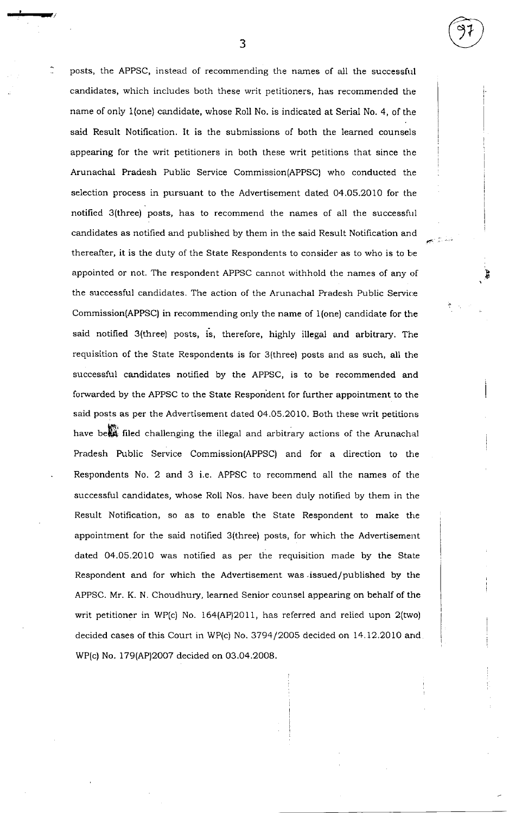posts, the APPSC, instead of recommending the names of all the successful candidates, which includes both these writ petitioners, has recommended the name of only 1(one) candidate, whose Roll No. is indicated at Serial No. 4, of the said Result Notification. It is the submissions of both the learned counsels appearing for the writ petitioners in both these writ petitions that since the Arunachal Pradesh Public Service Commission(APPSC) who conducted the selection process in pursuant to the Advertisement dated 04.05.2010 for the notified 3(three) posts, has to recommend the names of all the successful candidates as notified and published by them in the said Result Notification and thereafter, it is the duty of the State Respondents to consider as to who is to be appointed or not. The respondent APPSC cannot withhold the names of any of the successful candidates. The action of the Arunachal Pradesh Public Service Commission(APPSC) in recommending only the name of 1(one) candidate for the said notified 3(three) posts, is, therefore, highly illegal and arbitrary. The requisition of the State Respondents is for 3(three) posts and as such, all the successful candidates notified by the APPSC, is to be recommended and forwarded by the APPSC to the State Respondent for further appointment to the said posts as per the Advertisement dated 04.05.20I0. Both these writ petitions have be**en** filed challenging the illegal and arbitrary actions of the Arunachal Pradesh Public Service Commission(APPSC) and for a direction to the Respondents No.2 and 3 i.e. APPSC to recommend all the names of the successful candidates, whose Roll Nos. have been duly notified by them in the Result Notification, so as to enable the State Respondent. to make the appointment for the said notified 3(three) posts, for which the Advertisement dated 04.05.2010 was notified as per the requisition made by the State Respondent and for which the Advertisement was issued/published by the APPSC. Mr. K. N. Choudhury, learned Senior counsel appearing on behalf of the writ petitioner in WP(c) No. 164(AP)20I1, has referred and relied upon 2(two) decided cases of this Court in WP(c) No. 3794/2005 decided on 14.12.2010 and WP(c) No. 179(AP)2007 decided on 03.04.2008.

s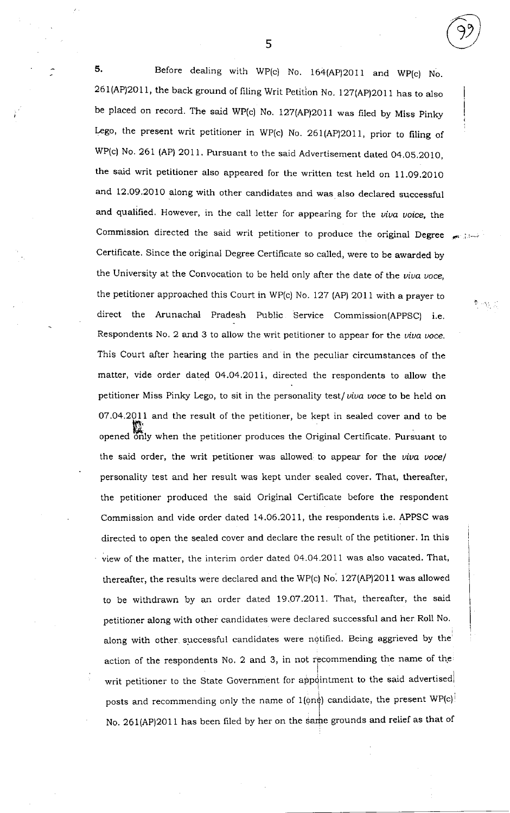5. Before dealing with WP(c) No. 164(AP)2011 and WP(c) No.  $261(AP)2011$ , the back ground of filing Writ Petition No. 127(AP)2011 has to also be placed on record. The said WP(c) No.  $127 (AP)2011$  was filed by Miss Pinky Lego, the present writ petitioner in WP(c) No. 261(AP)2011, prior to filing of wP(c) No. 261 (AP) 2011. Pursuant to the said Adverrisement dated 04.05.2010, the said writ petitioner also appeared for the written test held on 11.09.2010 and 12.09.2010 along with other candidates and was also declared successful and qualified. However, in the call letter for appearing for the viva voice, the Commission directed the said writ petitioner to produce the original Degree Certificate. Since the original Degree Certificate so called, were to be awarded by the University at the Convocation to be held only after the date of the viva voce, the petitioner approached this Court in WP(c) No. 127 (Ap) 201l with a prayer to direct the Arunachal Pradesh Public Service Commission(AppSC) i.e. Respondents No. 2 and 3 to allow the writ petitioner to appear for the viva voce. This Court after hearing the parties and in the peculiar circumstances of the matter, vide order dated O4.O4,2Oll, directed the respondents to allow the petitioner Miss Pinky Lego, to sit in the personality test/ $viva$  voce to be held on 07.04.201i and the result of the petitioner, be kept in sealed cover and to be trs, opened only when the petitioner produces the Original Certificate. Pursuant to the said order, the writ petitioner was allowed to appear for the viva voce/ personality test and her result was kept under sealed cover. That, thereafter, the petitioner produced the said Original Certificate before the respondent Commission and vide order dated 14.06.2011, the respondents i.e. APPSC was directed to open the sealed cover and declare the result of the petitioner. In this view of the matter, the interim order dated 04.04.2011 was also vacated. That, thereafter, the results were declared and the WP(c) No. 127(AP)2011 was allowed to be withdrawn by an order dated l9,O7.2oll. That, thereafter, the said petitioner along with other candidates were declared successful and her Roll No. along with other successful candidates were notified. Being aggrieved by the action of the respondents No. 2 and 3, in not recommending the name of the writ petitioner to the State Government for appointment to the said advertised posts and recommending only the name of  $1(\phi n \phi)$  candidate, the present WP(c)! i No. 261(AP)2011 has been hled by her on the sarhe grounds and relief as that of

 $\Phi_{\rm{eff}}$  ,  $\chi_{\rm{eff}}$ 

5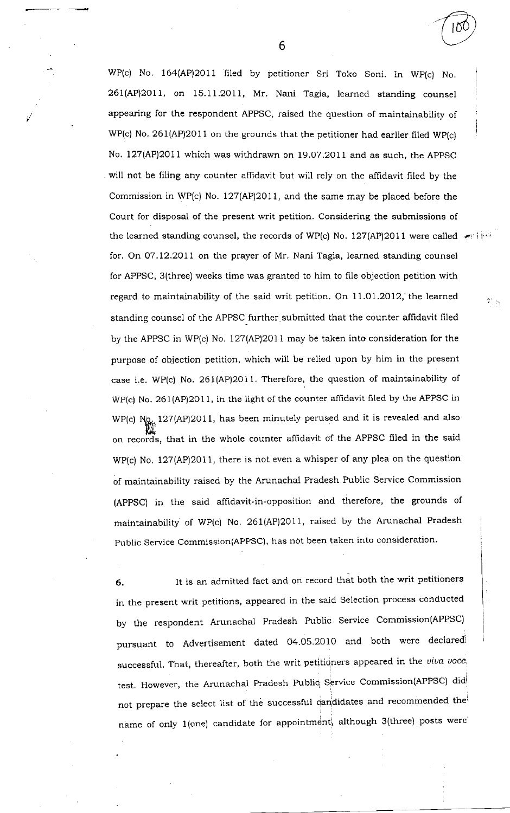WP(c) No. 164(AP)2011 filed by petitioner Sri Toko Soni. In Wp(c) No. 261(AP)2OI1, on 15.1l.2OI1, Mr. Nani Tagia, learned standing counsel appearing for the respondent APPSC, raised the question of maintainability of WP(c) No. 261(AP)2011 on the grounds that the petitioner had earlier filed WP(c) No. 127(AP)2011 which was withdrawn on 19.07.2011 and as such, the APPSC will not be filing any counter affidavit but will rely on the affidavit filed by the Commission in WP(c) No. 127(AP)2011, and the same may be placed before the Court for disposal of the present writ petition. Considering the submissions of the learned standing counsel, the records of WP(c) No. 127(AP)2011 were called  $\leftarrow$  in the for. On 07.12.2011 on the prayer of Mr. Nani Tagia, learned standing counsel for APPSC, 3(three) weeks time was granted to him to file objection petition with regard to maintainability of the said writ petition. On  $11.01.2012$ , the learned standing counsel of the APPSC further submitted that the counter affidavit filed by the APPSC in WP(c) No. 127(AP)2011 may be taken into consideration for the purpose of objection petition, which will be relied upon by him in the present case i.e. WP(c) No. 261(AP)2011. Therefore, the question of maintainability of WP(c) No. 261(AP)2011, in the light of the counter affidavit filed by the APPSC in WP(c)  $N_{Q_{k}}$  127(AP)2011, has been minutely perused and it is revealed and also on records, that in the whole counter affidavit of the APPSC filed in the said WP(c) No. 127(AP)2011, there is not even a whisper of any plea on the question of maintainability raised by the Arunachal Pradesh Public Service Commission (APPSC) in the said affidavit-in-opposition and therefore, the grounds of maintainability of WP(c) No. 261(AP)2011, raised by the Arunachal Pradesh public service commission(APPSC), has not been taken into consideration.

6. lt is an admitted fact and on record that both the writ petitioners in the present writ petitions, appeared in the said Selection process conducted by the respondent Arunachal Pradesh Public Service Commission(APPSC) pursuant to Advertisement dated 04.05.2010 and both were declared successful. That, thereafter, both the writ petitioners appeared in the viva voce test. However, the Arunachal Pradesh Public Service Commission(APPSC) did not prepare the select list of the successful dandidates and recommended the name of only 1(one) candidate for appointment, although 3(three) posts were

6